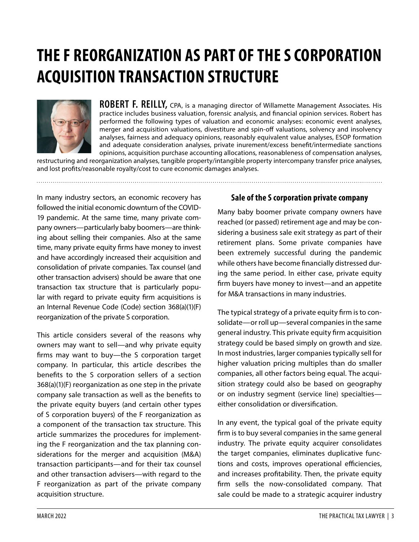# **THE F REORGANIZATION AS PART OF THE S CORPORATION ACQUISITION TRANSACTION STRUCTURE**



**ROBERT F. REILLY,** CPA, is a managing director of Willamette Management Associates. His practice includes business valuation, forensic analysis, and financial opinion services. Robert has performed the following types of valuation and economic analyses: economic event analyses, merger and acquisition valuations, divestiture and spin-off valuations, solvency and insolvency analyses, fairness and adequacy opinions, reasonably equivalent value analyses, ESOP formation and adequate consideration analyses, private inurement/excess benefit/intermediate sanctions opinions, acquisition purchase accounting allocations, reasonableness of compensation analyses,

restructuring and reorganization analyses, tangible property/intangible property intercompany transfer price analyses, and lost profits/reasonable royalty/cost to cure economic damages analyses.

In many industry sectors, an economic recovery has followed the initial economic downturn of the COVID-19 pandemic. At the same time, many private company owners—particularly baby boomers—are thinking about selling their companies. Also at the same time, many private equity firms have money to invest and have accordingly increased their acquisition and consolidation of private companies. Tax counsel (and other transaction advisers) should be aware that one transaction tax structure that is particularly popular with regard to private equity firm acquisitions is an Internal Revenue Code (Code) section 368(a)(1)(F) reorganization of the private S corporation.

This article considers several of the reasons why owners may want to sell—and why private equity firms may want to buy—the S corporation target company. In particular, this article describes the benefits to the S corporation sellers of a section 368(a)(1)(F) reorganization as one step in the private company sale transaction as well as the benefits to the private equity buyers (and certain other types of S corporation buyers) of the F reorganization as a component of the transaction tax structure. This article summarizes the procedures for implementing the F reorganization and the tax planning considerations for the merger and acquisition (M&A) transaction participants—and for their tax counsel and other transaction advisers—with regard to the F reorganization as part of the private company acquisition structure.

## **Sale of the S corporation private company**

Many baby boomer private company owners have reached (or passed) retirement age and may be considering a business sale exit strategy as part of their retirement plans. Some private companies have been extremely successful during the pandemic while others have become financially distressed during the same period. In either case, private equity firm buyers have money to invest—and an appetite for M&A transactions in many industries.

The typical strategy of a private equity firm is to consolidate—or roll up—several companies in the same general industry. This private equity firm acquisition strategy could be based simply on growth and size. In most industries, larger companies typically sell for higher valuation pricing multiples than do smaller companies, all other factors being equal. The acquisition strategy could also be based on geography or on industry segment (service line) specialties either consolidation or diversification.

In any event, the typical goal of the private equity firm is to buy several companies in the same general industry. The private equity acquirer consolidates the target companies, eliminates duplicative functions and costs, improves operational efficiencies, and increases profitability. Then, the private equity firm sells the now-consolidated company. That sale could be made to a strategic acquirer industry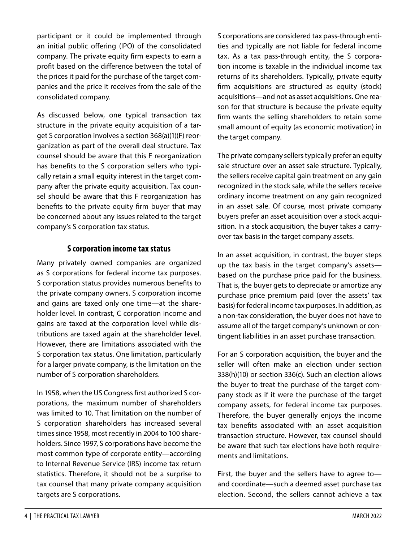participant or it could be implemented through an initial public offering (IPO) of the consolidated company. The private equity firm expects to earn a profit based on the difference between the total of the prices it paid for the purchase of the target companies and the price it receives from the sale of the consolidated company.

As discussed below, one typical transaction tax structure in the private equity acquisition of a target S corporation involves a section 368(a)(1)(F) reorganization as part of the overall deal structure. Tax counsel should be aware that this F reorganization has benefits to the S corporation sellers who typically retain a small equity interest in the target company after the private equity acquisition. Tax counsel should be aware that this F reorganization has benefits to the private equity firm buyer that may be concerned about any issues related to the target company's S corporation tax status.

#### **S corporation income tax status**

Many privately owned companies are organized as S corporations for federal income tax purposes. S corporation status provides numerous benefits to the private company owners. S corporation income and gains are taxed only one time—at the shareholder level. In contrast, C corporation income and gains are taxed at the corporation level while distributions are taxed again at the shareholder level. However, there are limitations associated with the S corporation tax status. One limitation, particularly for a larger private company, is the limitation on the number of S corporation shareholders.

In 1958, when the US Congress first authorized S corporations, the maximum number of shareholders was limited to 10. That limitation on the number of S corporation shareholders has increased several times since 1958, most recently in 2004 to 100 shareholders. Since 1997, S corporations have become the most common type of corporate entity—according to Internal Revenue Service (IRS) income tax return statistics. Therefore, it should not be a surprise to tax counsel that many private company acquisition targets are S corporations.

S corporations are considered tax pass-through entities and typically are not liable for federal income tax. As a tax pass-through entity, the S corporation income is taxable in the individual income tax returns of its shareholders. Typically, private equity firm acquisitions are structured as equity (stock) acquisitions—and not as asset acquisitions. One reason for that structure is because the private equity firm wants the selling shareholders to retain some small amount of equity (as economic motivation) in the target company.

The private company sellers typically prefer an equity sale structure over an asset sale structure. Typically, the sellers receive capital gain treatment on any gain recognized in the stock sale, while the sellers receive ordinary income treatment on any gain recognized in an asset sale. Of course, most private company buyers prefer an asset acquisition over a stock acquisition. In a stock acquisition, the buyer takes a carryover tax basis in the target company assets.

In an asset acquisition, in contrast, the buyer steps up the tax basis in the target company's assets based on the purchase price paid for the business. That is, the buyer gets to depreciate or amortize any purchase price premium paid (over the assets' tax basis) for federal income tax purposes. In addition, as a non-tax consideration, the buyer does not have to assume all of the target company's unknown or contingent liabilities in an asset purchase transaction.

For an S corporation acquisition, the buyer and the seller will often make an election under section 338(h)(10) or section 336(c). Such an election allows the buyer to treat the purchase of the target company stock as if it were the purchase of the target company assets, for federal income tax purposes. Therefore, the buyer generally enjoys the income tax benefits associated with an asset acquisition transaction structure. However, tax counsel should be aware that such tax elections have both requirements and limitations.

First, the buyer and the sellers have to agree to and coordinate—such a deemed asset purchase tax election. Second, the sellers cannot achieve a tax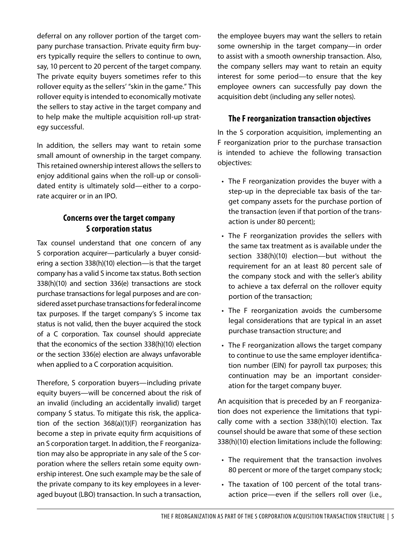deferral on any rollover portion of the target company purchase transaction. Private equity firm buyers typically require the sellers to continue to own, say, 10 percent to 20 percent of the target company. The private equity buyers sometimes refer to this rollover equity as the sellers' "skin in the game." This rollover equity is intended to economically motivate the sellers to stay active in the target company and to help make the multiple acquisition roll-up strategy successful.

In addition, the sellers may want to retain some small amount of ownership in the target company. This retained ownership interest allows the sellers to enjoy additional gains when the roll-up or consolidated entity is ultimately sold—either to a corporate acquirer or in an IPO.

## **Concerns over the target company S corporation status**

Tax counsel understand that one concern of any S corporation acquirer—particularly a buyer considering a section 338(h)(10) election—is that the target company has a valid S income tax status. Both section 338(h)(10) and section 336(e) transactions are stock purchase transactions for legal purposes and are considered asset purchase transactions for federal income tax purposes. If the target company's S income tax status is not valid, then the buyer acquired the stock of a C corporation. Tax counsel should appreciate that the economics of the section 338(h)(10) election or the section 336(e) election are always unfavorable when applied to a C corporation acquisition.

Therefore, S corporation buyers—including private equity buyers—will be concerned about the risk of an invalid (including an accidentally invalid) target company S status. To mitigate this risk, the application of the section 368(a)(1)(F) reorganization has become a step in private equity firm acquisitions of an S corporation target. In addition, the F reorganization may also be appropriate in any sale of the S corporation where the sellers retain some equity ownership interest. One such example may be the sale of the private company to its key employees in a leveraged buyout (LBO) transaction. In such a transaction,

the employee buyers may want the sellers to retain some ownership in the target company—in order to assist with a smooth ownership transaction. Also, the company sellers may want to retain an equity interest for some period—to ensure that the key employee owners can successfully pay down the acquisition debt (including any seller notes).

## **The F reorganization transaction objectives**

In the S corporation acquisition, implementing an F reorganization prior to the purchase transaction is intended to achieve the following transaction objectives:

- The F reorganization provides the buyer with a step-up in the depreciable tax basis of the target company assets for the purchase portion of the transaction (even if that portion of the transaction is under 80 percent);
- The F reorganization provides the sellers with the same tax treatment as is available under the section 338(h)(10) election—but without the requirement for an at least 80 percent sale of the company stock and with the seller's ability to achieve a tax deferral on the rollover equity portion of the transaction;
- The F reorganization avoids the cumbersome legal considerations that are typical in an asset purchase transaction structure; and
- The F reorganization allows the target company to continue to use the same employer identification number (EIN) for payroll tax purposes; this continuation may be an important consideration for the target company buyer.

An acquisition that is preceded by an F reorganization does not experience the limitations that typically come with a section 338(h)(10) election. Tax counsel should be aware that some of these section 338(h)(10) election limitations include the following:

- The requirement that the transaction involves 80 percent or more of the target company stock;
- The taxation of 100 percent of the total transaction price—even if the sellers roll over (i.e.,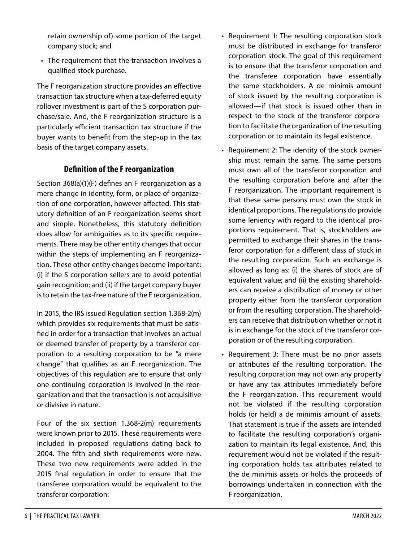retain ownership of) some portion of the target company stock; and

• The requirement that the transaction involves a qualified stock purchase.

The F reorganization structure provides an effective transaction tax structure when a tax-deferred equity rollover investment is part of the S corporation purchase/sale. And, the F reorganization structure is a particularly efficient transaction tax structure if the buyer wants to benefit from the step-up in the tax basis of the target company assets.

## **Definition of the F reorganization**

Section 368(a)(1)(F) defines an F reorganization as a mere change in identity, form, or place of organization of one corporation, however affected. This statutory definition of an F reorganization seems short and simple. Nonetheless, this statutory definition does allow for ambiguities as to its specific requirements. There may be other entity changes that occur within the steps of implementing an F reorganization. These other entity changes become important: (i) if the S corporation sellers are to avoid potential gain recognition; and (ii) if the target company buyer is to retain the tax-free nature of the F reorganization.

In 2015, the IRS issued Regulation section 1.368-2(m) which provides six requirements that must be satisfied in order for a transaction that involves an actual or deemed transfer of property by a transferor corporation to a resulting corporation to be "a mere change" that qualifies as an F reorganization. The objectives of this regulation are to ensure that only one continuing corporation is involved in the reorganization and that the transaction is not acquisitive or divisive in nature.

Four of the six section 1.368-2(m) requirements were known prior to 2015. These requirements were included in proposed regulations dating back to 2004. The fifth and sixth requirements were new. These two new requirements were added in the 2015 final regulation in order to ensure that the transferee corporation would be equivalent to the transferor corporation:

- Requirement 1: The resulting corporation stock must be distributed in exchange for transferor corporation stock. The goal of this requirement is to ensure that the transferor corporation and the transferee corporation have essentially the same stockholders. A de minimis amount of stock issued by the resulting corporation is allowed—if that stock is issued other than in respect to the stock of the transferor corporation to facilitate the organization of the resulting corporation or to maintain its legal existence.
- Requirement 2: The identity of the stock ownership must remain the same. The same persons must own all of the transferor corporation and the resulting corporation before and after the F reorganization. The important requirement is that these same persons must own the stock in identical proportions. The regulations do provide some leniency with regard to the identical proportions requirement. That is, stockholders are permitted to exchange their shares in the transferor corporation for a different class of stock in the resulting corporation. Such an exchange is allowed as long as: (i) the shares of stock are of equivalent value; and (ii) the existing shareholders can receive a distribution of money or other property either from the transferor corporation or from the resulting corporation. The shareholders can receive that distribution whether or not it is in exchange for the stock of the transferor corporation or of the resulting corporation.
- Requirement 3: There must be no prior assets or attributes of the resulting corporation. The resulting corporation may not own any property or have any tax attributes immediately before the F reorganization. This requirement would not be violated if the resulting corporation holds (or held) a de minimis amount of assets. That statement is true if the assets are intended to facilitate the resulting corporation's organization to maintain its legal existence. And, this requirement would not be violated if the resulting corporation holds tax attributes related to the de minimis assets or holds the proceeds of borrowings undertaken in connection with the F reorganization.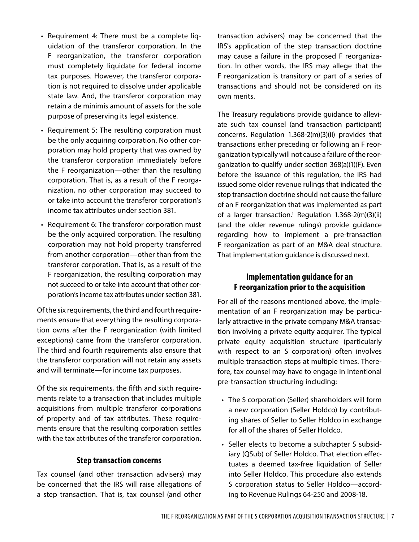- Requirement 4: There must be a complete liquidation of the transferor corporation. In the F reorganization, the transferor corporation must completely liquidate for federal income tax purposes. However, the transferor corporation is not required to dissolve under applicable state law. And, the transferor corporation may retain a de minimis amount of assets for the sole purpose of preserving its legal existence.
- Requirement 5: The resulting corporation must be the only acquiring corporation. No other corporation may hold property that was owned by the transferor corporation immediately before the F reorganization—other than the resulting corporation. That is, as a result of the F reorganization, no other corporation may succeed to or take into account the transferor corporation's income tax attributes under section 381.
- Requirement 6: The transferor corporation must be the only acquired corporation. The resulting corporation may not hold property transferred from another corporation—other than from the transferor corporation. That is, as a result of the F reorganization, the resulting corporation may not succeed to or take into account that other corporation's income tax attributes under section 381.

Of the six requirements, the third and fourth requirements ensure that everything the resulting corporation owns after the F reorganization (with limited exceptions) came from the transferor corporation. The third and fourth requirements also ensure that the transferor corporation will not retain any assets and will terminate—for income tax purposes.

Of the six requirements, the fifth and sixth requirements relate to a transaction that includes multiple acquisitions from multiple transferor corporations of property and of tax attributes. These requirements ensure that the resulting corporation settles with the tax attributes of the transferor corporation.

#### **Step transaction concerns**

Tax counsel (and other transaction advisers) may be concerned that the IRS will raise allegations of a step transaction. That is, tax counsel (and other

transaction advisers) may be concerned that the IRS's application of the step transaction doctrine may cause a failure in the proposed F reorganization. In other words, the IRS may allege that the F reorganization is transitory or part of a series of transactions and should not be considered on its own merits.

The Treasury regulations provide guidance to alleviate such tax counsel (and transaction participant) concerns. Regulation 1.368-2(m)(3)(ii) provides that transactions either preceding or following an F reorganization typically will not cause a failure of the reorganization to qualify under section 368(a)(1)(F). Even before the issuance of this regulation, the IRS had issued some older revenue rulings that indicated the step transaction doctrine should not cause the failure of an F reorganization that was implemented as part of a larger transaction.<sup>1</sup> Regulation 1.368-2(m)(3)(ii) (and the older revenue rulings) provide guidance regarding how to implement a pre-transaction F reorganization as part of an M&A deal structure. That implementation guidance is discussed next.

## **Implementation guidance for an F reorganization prior to the acquisition**

For all of the reasons mentioned above, the implementation of an F reorganization may be particularly attractive in the private company M&A transaction involving a private equity acquirer. The typical private equity acquisition structure (particularly with respect to an S corporation) often involves multiple transaction steps at multiple times. Therefore, tax counsel may have to engage in intentional pre-transaction structuring including:

- The S corporation (Seller) shareholders will form a new corporation (Seller Holdco) by contributing shares of Seller to Seller Holdco in exchange for all of the shares of Seller Holdco.
- Seller elects to become a subchapter S subsidiary (QSub) of Seller Holdco. That election effectuates a deemed tax-free liquidation of Seller into Seller Holdco. This procedure also extends S corporation status to Seller Holdco—according to Revenue Rulings 64-250 and 2008-18.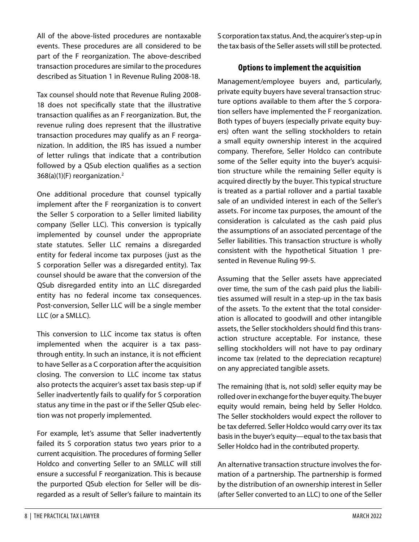All of the above-listed procedures are nontaxable events. These procedures are all considered to be part of the F reorganization. The above-described transaction procedures are similar to the procedures described as Situation 1 in Revenue Ruling 2008-18.

Tax counsel should note that Revenue Ruling 2008- 18 does not specifically state that the illustrative transaction qualifies as an F reorganization. But, the revenue ruling does represent that the illustrative transaction procedures may qualify as an F reorganization. In addition, the IRS has issued a number of letter rulings that indicate that a contribution followed by a QSub election qualifies as a section  $368(a)(1)(F)$  reorganization.<sup>[2](#page-7-1)</sup>

One additional procedure that counsel typically implement after the F reorganization is to convert the Seller S corporation to a Seller limited liability company (Seller LLC). This conversion is typically implemented by counsel under the appropriate state statutes. Seller LLC remains a disregarded entity for federal income tax purposes (just as the S corporation Seller was a disregarded entity). Tax counsel should be aware that the conversion of the QSub disregarded entity into an LLC disregarded entity has no federal income tax consequences. Post-conversion, Seller LLC will be a single member LLC (or a SMLLC).

This conversion to LLC income tax status is often implemented when the acquirer is a tax passthrough entity. In such an instance, it is not efficient to have Seller as a C corporation after the acquisition closing. The conversion to LLC income tax status also protects the acquirer's asset tax basis step-up if Seller inadvertently fails to qualify for S corporation status any time in the past or if the Seller QSub election was not properly implemented.

For example, let's assume that Seller inadvertently failed its S corporation status two years prior to a current acquisition. The procedures of forming Seller Holdco and converting Seller to an SMLLC will still ensure a successful F reorganization. This is because the purported QSub election for Seller will be disregarded as a result of Seller's failure to maintain its S corporation tax status. And, the acquirer's step-up in the tax basis of the Seller assets will still be protected.

## **Options to implement the acquisition**

Management/employee buyers and, particularly, private equity buyers have several transaction structure options available to them after the S corporation sellers have implemented the F reorganization. Both types of buyers (especially private equity buyers) often want the selling stockholders to retain a small equity ownership interest in the acquired company. Therefore, Seller Holdco can contribute some of the Seller equity into the buyer's acquisition structure while the remaining Seller equity is acquired directly by the buyer. This typical structure is treated as a partial rollover and a partial taxable sale of an undivided interest in each of the Seller's assets. For income tax purposes, the amount of the consideration is calculated as the cash paid plus the assumptions of an associated percentage of the Seller liabilities. This transaction structure is wholly consistent with the hypothetical Situation 1 presented in Revenue Ruling 99-5.

Assuming that the Seller assets have appreciated over time, the sum of the cash paid plus the liabilities assumed will result in a step-up in the tax basis of the assets. To the extent that the total consideration is allocated to goodwill and other intangible assets, the Seller stockholders should find this transaction structure acceptable. For instance, these selling stockholders will not have to pay ordinary income tax (related to the depreciation recapture) on any appreciated tangible assets.

The remaining (that is, not sold) seller equity may be rolled over in exchange for the buyer equity. The buyer equity would remain, being held by Seller Holdco. The Seller stockholders would expect the rollover to be tax deferred. Seller Holdco would carry over its tax basis in the buyer's equity—equal to the tax basis that Seller Holdco had in the contributed property.

An alternative transaction structure involves the formation of a partnership. The partnership is formed by the distribution of an ownership interest in Seller (after Seller converted to an LLC) to one of the Seller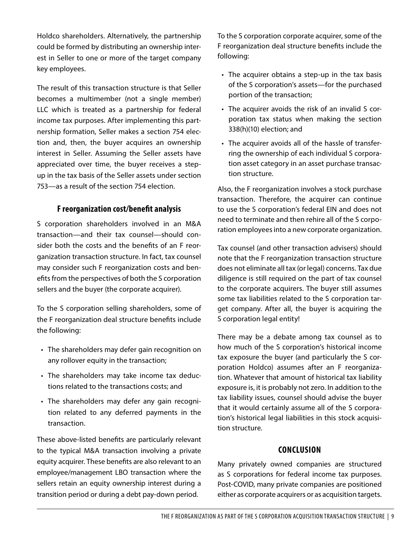Holdco shareholders. Alternatively, the partnership could be formed by distributing an ownership interest in Seller to one or more of the target company key employees.

The result of this transaction structure is that Seller becomes a multimember (not a single member) LLC which is treated as a partnership for federal income tax purposes. After implementing this partnership formation, Seller makes a section 754 election and, then, the buyer acquires an ownership interest in Seller. Assuming the Seller assets have appreciated over time, the buyer receives a stepup in the tax basis of the Seller assets under section 753—as a result of the section 754 election.

## **F reorganization cost/benefit analysis**

S corporation shareholders involved in an M&A transaction—and their tax counsel—should consider both the costs and the benefits of an F reorganization transaction structure. In fact, tax counsel may consider such F reorganization costs and benefits from the perspectives of both the S corporation sellers and the buyer (the corporate acquirer).

To the S corporation selling shareholders, some of the F reorganization deal structure benefits include the following:

- The shareholders may defer gain recognition on any rollover equity in the transaction;
- The shareholders may take income tax deductions related to the transactions costs; and
- The shareholders may defer any gain recognition related to any deferred payments in the transaction.

These above-listed benefits are particularly relevant to the typical M&A transaction involving a private equity acquirer. These benefits are also relevant to an employee/management LBO transaction where the sellers retain an equity ownership interest during a transition period or during a debt pay-down period.

To the S corporation corporate acquirer, some of the F reorganization deal structure benefits include the following:

- The acquirer obtains a step-up in the tax basis of the S corporation's assets—for the purchased portion of the transaction;
- The acquirer avoids the risk of an invalid S corporation tax status when making the section 338(h)(10) election; and
- The acquirer avoids all of the hassle of transferring the ownership of each individual S corporation asset category in an asset purchase transaction structure.

Also, the F reorganization involves a stock purchase transaction. Therefore, the acquirer can continue to use the S corporation's federal EIN and does not need to terminate and then rehire all of the S corporation employees into a new corporate organization.

Tax counsel (and other transaction advisers) should note that the F reorganization transaction structure does not eliminate all tax (or legal) concerns. Tax due diligence is still required on the part of tax counsel to the corporate acquirers. The buyer still assumes some tax liabilities related to the S corporation target company. After all, the buyer is acquiring the S corporation legal entity!

There may be a debate among tax counsel as to how much of the S corporation's historical income tax exposure the buyer (and particularly the S corporation Holdco) assumes after an F reorganization. Whatever that amount of historical tax liability exposure is, it is probably not zero. In addition to the tax liability issues, counsel should advise the buyer that it would certainly assume all of the S corporation's historical legal liabilities in this stock acquisition structure.

### **CONCLUSION**

Many privately owned companies are structured as S corporations for federal income tax purposes. Post-COVID, many private companies are positioned either as corporate acquirers or as acquisition targets.